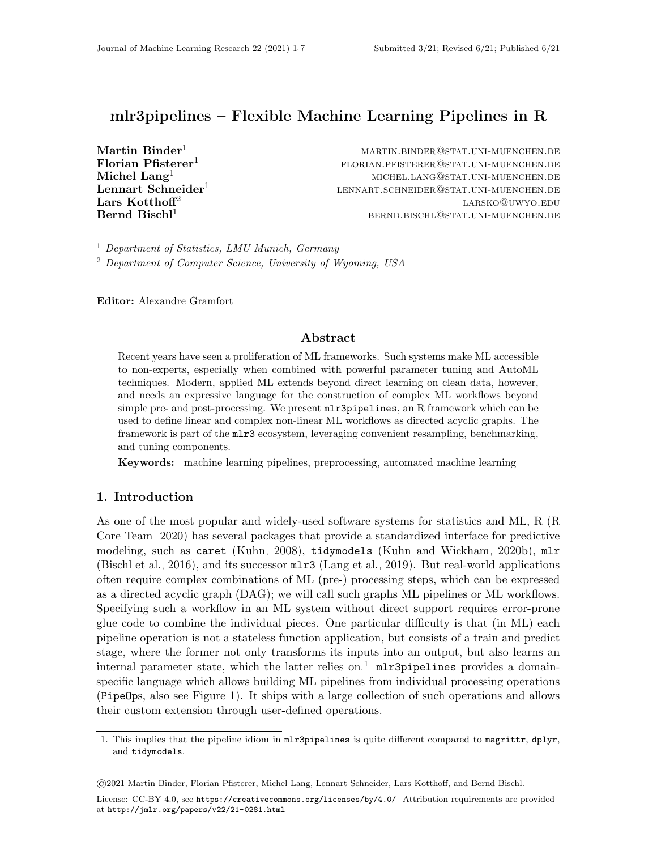# mlr3pipelines – Flexible Machine Learning Pipelines in R

Lennart Schneider<sup>1</sup> Lars Kotthoff<sup>2</sup>

 $Martin$   $Binder<sup>1</sup>$  martin.binder martin.binder@stat.uni-muenchen.de  $\mathbf{Florian\;Pfisterer}^1$  florian  $\mathbf{Pfisterer}^1$  florian.pfisterer@stat.uni-muenchen.de  $\mathbf{Michel}\ \mathbf{Lang}^1$  michel  $\mathbf{Lang}^1$  michel.lang@stat.uni-muenchen.de lennart.schneider@stat.uni-muenchen.de larsko@uwyo.edu  $\rm \,Bernd \, \, Bischl^1$  bernd.bischlanden.bischl@stat.uni-muenchen.de

<sup>1</sup> Department of Statistics, LMU Munich, Germany <sup>2</sup> Department of Computer Science, University of Wyoming, USA

Editor: Alexandre Gramfort

#### Abstract

Recent years have seen a proliferation of ML frameworks. Such systems make ML accessible to non-experts, especially when combined with powerful parameter tuning and AutoML techniques. Modern, applied ML extends beyond direct learning on clean data, however, and needs an expressive language for the construction of complex ML workflows beyond simple pre- and post-processing. We present mlr3pipelines, an R framework which can be used to define linear and complex non-linear ML workflows as directed acyclic graphs. The framework is part of the mlr3 ecosystem, leveraging convenient resampling, benchmarking, and tuning components.

Keywords: machine learning pipelines, preprocessing, automated machine learning

#### 1. Introduction

As one of the most popular and widely-used software systems for statistics and ML, R [\(R](#page-5-0) [Core Team, 2020\)](#page-5-0) has several packages that provide a standardized interface for predictive modeling, such as caret [\(Kuhn, 2008\)](#page-4-0), tidymodels [\(Kuhn and Wickham, 2020b\)](#page-4-1), mlr [\(Bischl et al., 2016\)](#page-4-2), and its successor mlr3 [\(Lang et al., 2019\)](#page-5-1). But real-world applications often require complex combinations of ML (pre-) processing steps, which can be expressed as a directed acyclic graph (DAG); we will call such graphs ML pipelines or ML workflows. Specifying such a workflow in an ML system without direct support requires error-prone glue code to combine the individual pieces. One particular difficulty is that (in ML) each pipeline operation is not a stateless function application, but consists of a train and predict stage, where the former not only transforms its inputs into an output, but also learns an internal parameter state, which the latter relies on.<sup>[1](#page-0-0)</sup> mlr3pipelines provides a domainspecific language which allows building ML pipelines from individual processing operations (PipeOps, also see Figure [1\)](#page-1-0). It ships with a large collection of such operations and allows their custom extension through user-defined operations.

License: CC-BY 4.0, see <https://creativecommons.org/licenses/by/4.0/>. Attribution requirements are provided at <http://jmlr.org/papers/v22/21-0281.html>.

<span id="page-0-0"></span><sup>1.</sup> This implies that the pipeline idiom in mlr3pipelines is quite different compared to magrittr, dplyr, and tidymodels.

<sup>©</sup>2021 Martin Binder, Florian Pfisterer, Michel Lang, Lennart Schneider, Lars Kotthoff, and Bernd Bischl.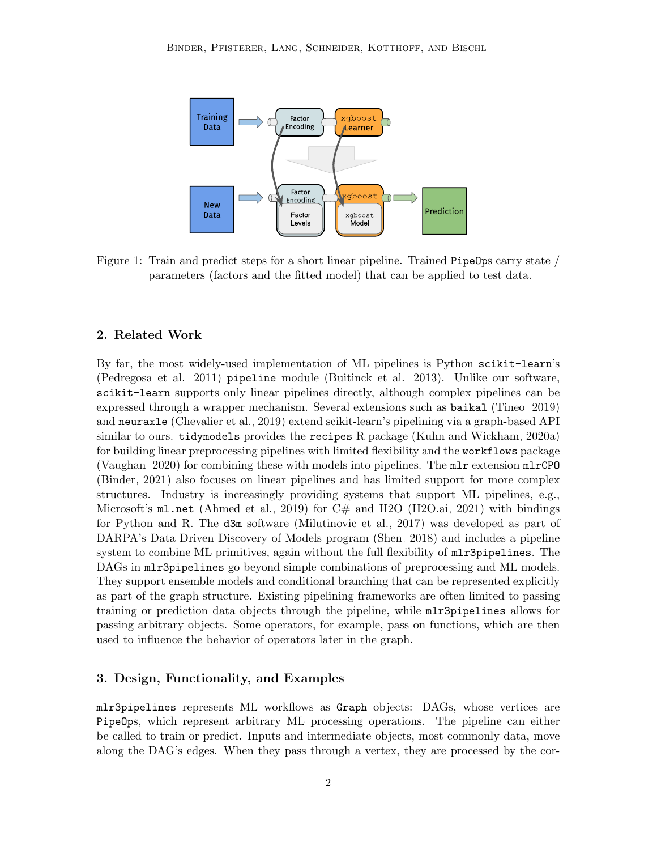<span id="page-1-0"></span>

Figure 1: Train and predict steps for a short linear pipeline. Trained PipeOps carry state / parameters (factors and the fitted model) that can be applied to test data.

#### 2. Related Work

By far, the most widely-used implementation of ML pipelines is Python scikit-learn's [\(Pedregosa et al., 2011\)](#page-5-2) pipeline module [\(Buitinck et al., 2013\)](#page-4-3). Unlike our software, scikit-learn supports only linear pipelines directly, although complex pipelines can be expressed through a wrapper mechanism. Several extensions such as baikal [\(Tineo, 2019\)](#page-5-3) and neuraxle [\(Chevalier et al., 2019\)](#page-4-4) extend scikit-learn's pipelining via a graph-based API similar to ours. tidymodels provides the recipes R package [\(Kuhn and Wickham, 2020a\)](#page-4-5) for building linear preprocessing pipelines with limited flexibility and the workflows package [\(Vaughan, 2020\)](#page-5-4) for combining these with models into pipelines. The mlr extension mlrCPO [\(Binder, 2021\)](#page-4-6) also focuses on linear pipelines and has limited support for more complex structures. Industry is increasingly providing systems that support ML pipelines, e.g., Microsoft's  $m$ l.net [\(Ahmed et al., 2019\)](#page-4-7) for C# and H2O [\(H2O.ai, 2021\)](#page-4-8) with bindings for Python and R. The d3m software [\(Milutinovic et al., 2017\)](#page-5-5) was developed as part of DARPA's Data Driven Discovery of Models program [\(Shen, 2018\)](#page-5-6) and includes a pipeline system to combine ML primitives, again without the full flexibility of  $mlr3pipelines$ . The DAGs in mlr3pipelines go beyond simple combinations of preprocessing and ML models. They support ensemble models and conditional branching that can be represented explicitly as part of the graph structure. Existing pipelining frameworks are often limited to passing training or prediction data objects through the pipeline, while  $m\rightarrow\text{1}$  ratios allows for passing arbitrary objects. Some operators, for example, pass on functions, which are then used to influence the behavior of operators later in the graph.

### 3. Design, Functionality, and Examples

mlr3pipelines represents ML workflows as Graph objects: DAGs, whose vertices are PipeOps, which represent arbitrary ML processing operations. The pipeline can either be called to train or predict. Inputs and intermediate objects, most commonly data, move along the DAG's edges. When they pass through a vertex, they are processed by the cor-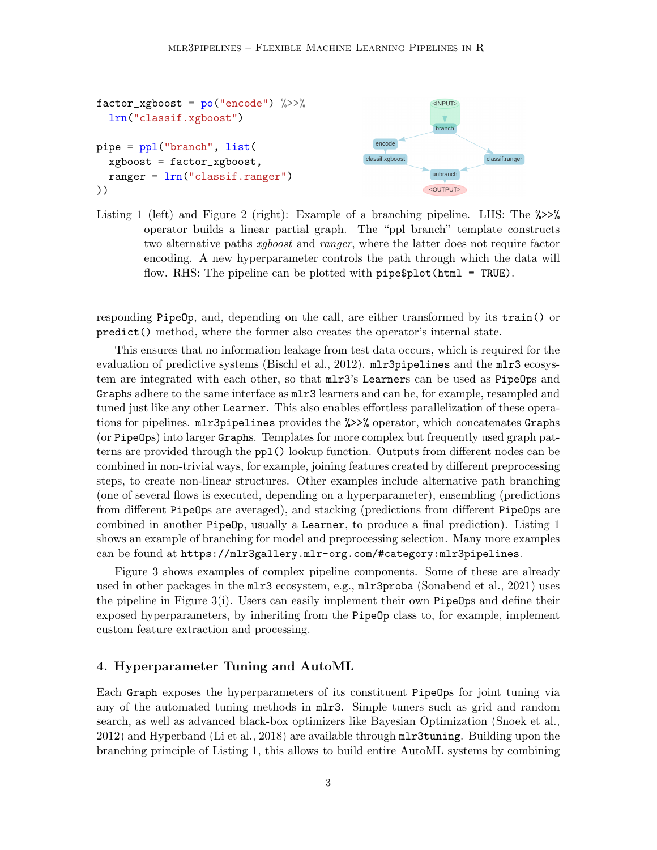<span id="page-2-0"></span>

Listing 1 (left) and Figure 2 (right): Example of a branching pipeline. LHS: The  $\gg$ operator builds a linear partial graph. The "ppl branch" template constructs two alternative paths *xgboost* and *ranger*, where the latter does not require factor encoding. A new hyperparameter controls the path through which the data will flow. RHS: The pipeline can be plotted with pipe\$plot(html = TRUE).

responding PipeOp, and, depending on the call, are either transformed by its train() or predict() method, where the former also creates the operator's internal state.

This ensures that no information leakage from test data occurs, which is required for the evaluation of predictive systems [\(Bischl et al., 2012\)](#page-4-9). mlr3pipelines and the mlr3 ecosystem are integrated with each other, so that mlr3's Learners can be used as PipeOps and Graphs adhere to the same interface as  $m1r3$  learners and can be, for example, resampled and tuned just like any other Learner. This also enables effortless parallelization of these operations for pipelines. mlr3pipelines provides the %>>% operator, which concatenates Graphs (or PipeOps) into larger Graphs. Templates for more complex but frequently used graph patterns are provided through the ppl() lookup function. Outputs from different nodes can be combined in non-trivial ways, for example, joining features created by different preprocessing steps, to create non-linear structures. Other examples include alternative path branching (one of several flows is executed, depending on a hyperparameter), ensembling (predictions from different PipeOps are averaged), and stacking (predictions from different PipeOps are combined in another PipeOp, usually a Learner, to produce a final prediction). Listing [1](#page-2-0) shows an example of branching for model and preprocessing selection. Many more examples can be found at <https://mlr3gallery.mlr-org.com/#category:mlr3pipelines>.

Figure [3](#page-3-0) shows examples of complex pipeline components. Some of these are already used in other packages in the mlr3 ecosystem, e.g., mlr3proba [\(Sonabend et al., 2021\)](#page-5-7) uses the pipeline in Figure [3\(](#page-3-0)i). Users can easily implement their own PipeOps and define their exposed hyperparameters, by inheriting from the PipeOp class to, for example, implement custom feature extraction and processing.

#### 4. Hyperparameter Tuning and AutoML

Each Graph exposes the hyperparameters of its constituent PipeOps for joint tuning via any of the automated tuning methods in mlr3. Simple tuners such as grid and random search, as well as advanced black-box optimizers like Bayesian Optimization [\(Snoek et al.,](#page-5-8) [2012\)](#page-5-8) and Hyperband [\(Li et al., 2018\)](#page-5-9) are available through mlr3tuning. Building upon the branching principle of Listing [1,](#page-2-0) this allows to build entire AutoML systems by combining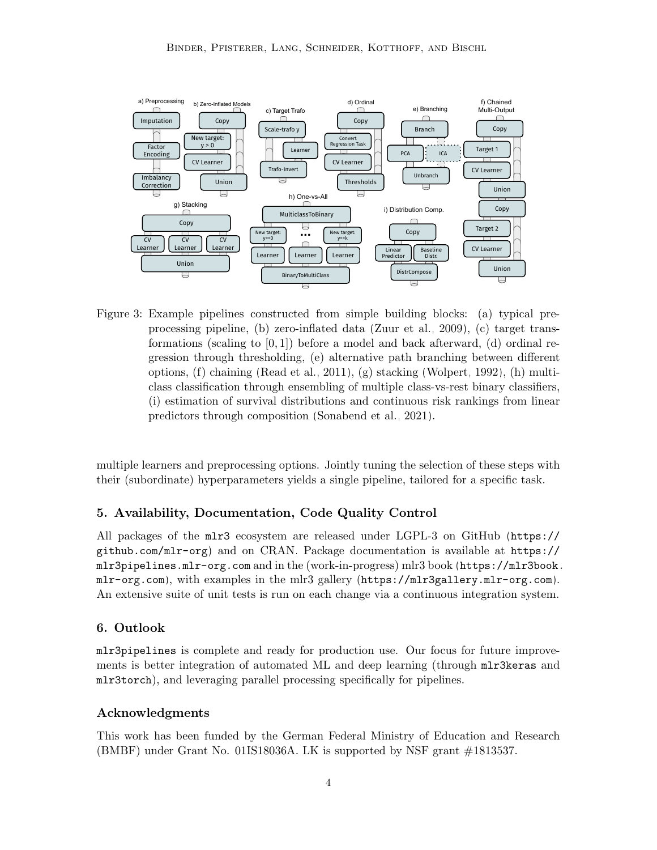<span id="page-3-0"></span>

Figure 3: Example pipelines constructed from simple building blocks: (a) typical preprocessing pipeline, (b) zero-inflated data [\(Zuur et al., 2009\)](#page-6-1), (c) target transformations (scaling to  $[0, 1]$ ) before a model and back afterward, (d) ordinal regression through thresholding, (e) alternative path branching between different options, (f) chaining [\(Read et al., 2011\)](#page-5-10), (g) stacking [\(Wolpert, 1992\)](#page-5-11), (h) multiclass classification through ensembling of multiple class-vs-rest binary classifiers, (i) estimation of survival distributions and continuous risk rankings from linear predictors through composition [\(Sonabend et al., 2021\)](#page-5-7).

multiple learners and preprocessing options. Jointly tuning the selection of these steps with their (subordinate) hyperparameters yields a single pipeline, tailored for a specific task.

## 5. Availability, Documentation, Code Quality Control

All packages of the mlr3 ecosystem are released under [LGPL-3](http://www.gnu.org/licenses/lgpl-3.0.html) on GitHub ([https://](https://github.com/mlr-org) [github.com/mlr-org](https://github.com/mlr-org)) and on [CRAN.](https://cran.r-project.org/) Package documentation is available at [https://](https://mlr3pipelines.mlr-org.com) [mlr3pipelines.mlr-org.com](https://mlr3pipelines.mlr-org.com) and in the (work-in-progress) mlr3 book ([https://mlr3book.](https://mlr3book.mlr-org.com) [mlr-org.com](https://mlr3book.mlr-org.com)), with examples in the mlr3 gallery (<https://mlr3gallery.mlr-org.com>). An extensive suite of unit tests is run on each change via a continuous integration system.

## 6. Outlook

mlr3pipelines is complete and ready for production use. Our focus for future improvements is better integration of automated ML and deep learning (through  $mlr3keras$  and mlr3torch), and leveraging parallel processing specifically for pipelines.

#### Acknowledgments

This work has been funded by the German Federal Ministry of Education and Research (BMBF) under Grant No. 01IS18036A. LK is supported by NSF grant #1813537.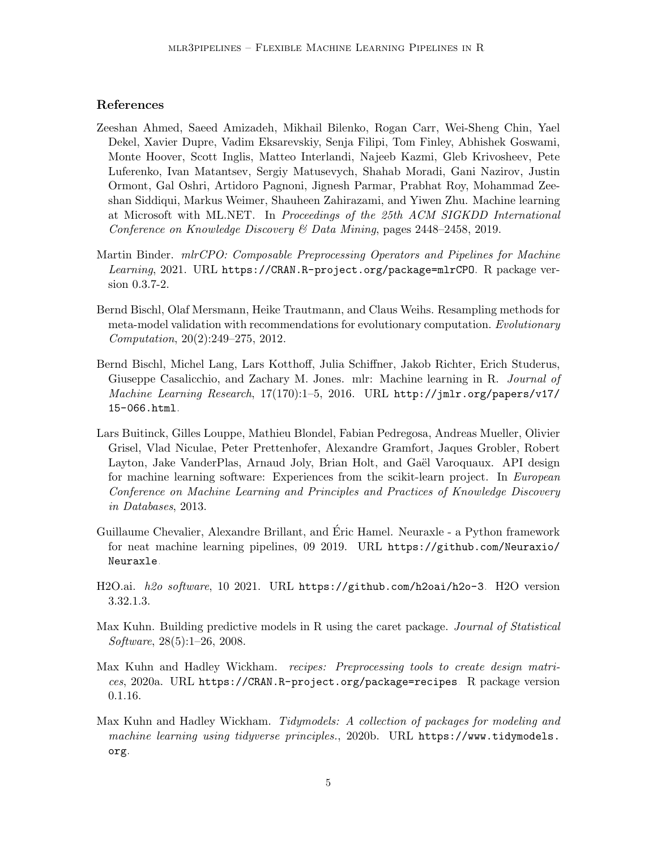## References

- <span id="page-4-7"></span>Zeeshan Ahmed, Saeed Amizadeh, Mikhail Bilenko, Rogan Carr, Wei-Sheng Chin, Yael Dekel, Xavier Dupre, Vadim Eksarevskiy, Senja Filipi, Tom Finley, Abhishek Goswami, Monte Hoover, Scott Inglis, Matteo Interlandi, Najeeb Kazmi, Gleb Krivosheev, Pete Luferenko, Ivan Matantsev, Sergiy Matusevych, Shahab Moradi, Gani Nazirov, Justin Ormont, Gal Oshri, Artidoro Pagnoni, Jignesh Parmar, Prabhat Roy, Mohammad Zeeshan Siddiqui, Markus Weimer, Shauheen Zahirazami, and Yiwen Zhu. Machine learning at Microsoft with ML.NET. In Proceedings of the 25th ACM SIGKDD International Conference on Knowledge Discovery & Data Mining, pages 2448–2458, 2019.
- <span id="page-4-6"></span>Martin Binder. mlrCPO: Composable Preprocessing Operators and Pipelines for Machine Learning, 2021. URL <https://CRAN.R-project.org/package=mlrCPO>. R package version 0.3.7-2.
- <span id="page-4-9"></span>Bernd Bischl, Olaf Mersmann, Heike Trautmann, and Claus Weihs. Resampling methods for meta-model validation with recommendations for evolutionary computation. Evolutionary Computation, 20(2):249–275, 2012.
- <span id="page-4-2"></span>Bernd Bischl, Michel Lang, Lars Kotthoff, Julia Schiffner, Jakob Richter, Erich Studerus, Giuseppe Casalicchio, and Zachary M. Jones. mlr: Machine learning in R. Journal of Machine Learning Research, 17(170):1–5, 2016. URL [http://jmlr.org/papers/v17/](http://jmlr.org/papers/v17/15-066.html) [15-066.html](http://jmlr.org/papers/v17/15-066.html).
- <span id="page-4-3"></span>Lars Buitinck, Gilles Louppe, Mathieu Blondel, Fabian Pedregosa, Andreas Mueller, Olivier Grisel, Vlad Niculae, Peter Prettenhofer, Alexandre Gramfort, Jaques Grobler, Robert Layton, Jake VanderPlas, Arnaud Joly, Brian Holt, and Gaël Varoquaux. API design for machine learning software: Experiences from the scikit-learn project. In European Conference on Machine Learning and Principles and Practices of Knowledge Discovery in Databases, 2013.
- <span id="page-4-4"></span>Guillaume Chevalier, Alexandre Brillant, and Eric Hamel. Neuraxle - a Python framework ´ for neat machine learning pipelines, 09 2019. URL [https://github.com/Neuraxio/](https://github.com/Neuraxio/Neuraxle) [Neuraxle](https://github.com/Neuraxio/Neuraxle).
- <span id="page-4-8"></span>H2O.ai. h2o software, 10 2021. URL <https://github.com/h2oai/h2o-3>. H2O version 3.32.1.3.
- <span id="page-4-0"></span>Max Kuhn. Building predictive models in R using the caret package. *Journal of Statistical* Software, 28(5):1–26, 2008.
- <span id="page-4-5"></span>Max Kuhn and Hadley Wickham. recipes: Preprocessing tools to create design matrices, 2020a. URL <https://CRAN.R-project.org/package=recipes>. R package version 0.1.16.
- <span id="page-4-1"></span>Max Kuhn and Hadley Wickham. Tidymodels: A collection of packages for modeling and machine learning using tidyverse principles., 2020b. URL [https://www.tidymodels.](https://www.tidymodels.org) [org](https://www.tidymodels.org).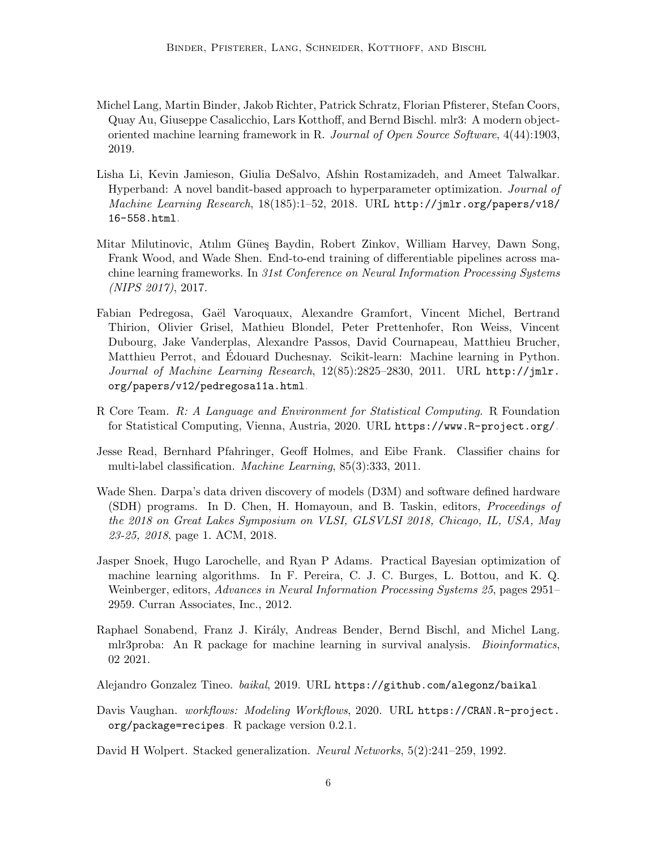- <span id="page-5-1"></span>Michel Lang, Martin Binder, Jakob Richter, Patrick Schratz, Florian Pfisterer, Stefan Coors, Quay Au, Giuseppe Casalicchio, Lars Kotthoff, and Bernd Bischl. mlr3: A modern objectoriented machine learning framework in R. Journal of Open Source Software, 4(44):1903, 2019.
- <span id="page-5-9"></span>Lisha Li, Kevin Jamieson, Giulia DeSalvo, Afshin Rostamizadeh, and Ameet Talwalkar. Hyperband: A novel bandit-based approach to hyperparameter optimization. Journal of Machine Learning Research, 18(185):1–52, 2018. URL [http://jmlr.org/papers/v18/](http://jmlr.org/papers/v18/16-558.html) [16-558.html](http://jmlr.org/papers/v18/16-558.html).
- <span id="page-5-5"></span>Mitar Milutinovic, Atılım Güneş Baydin, Robert Zinkov, William Harvey, Dawn Song, Frank Wood, and Wade Shen. End-to-end training of differentiable pipelines across machine learning frameworks. In 31st Conference on Neural Information Processing Systems (NIPS 2017), 2017.
- <span id="page-5-2"></span>Fabian Pedregosa, Gaël Varoquaux, Alexandre Gramfort, Vincent Michel, Bertrand Thirion, Olivier Grisel, Mathieu Blondel, Peter Prettenhofer, Ron Weiss, Vincent Dubourg, Jake Vanderplas, Alexandre Passos, David Cournapeau, Matthieu Brucher, Matthieu Perrot, and Edouard Duchesnay. Scikit-learn: Machine learning in Python. Journal of Machine Learning Research, 12(85):2825–2830, 2011. URL [http://jmlr.](http://jmlr.org/papers/v12/pedregosa11a.html) [org/papers/v12/pedregosa11a.html](http://jmlr.org/papers/v12/pedregosa11a.html).
- <span id="page-5-0"></span>R Core Team. R: A Language and Environment for Statistical Computing. R Foundation for Statistical Computing, Vienna, Austria, 2020. URL <https://www.R-project.org/>.
- <span id="page-5-10"></span>Jesse Read, Bernhard Pfahringer, Geoff Holmes, and Eibe Frank. Classifier chains for multi-label classification. Machine Learning, 85(3):333, 2011.
- <span id="page-5-6"></span>Wade Shen. Darpa's data driven discovery of models (D3M) and software defined hardware (SDH) programs. In D. Chen, H. Homayoun, and B. Taskin, editors, Proceedings of the 2018 on Great Lakes Symposium on VLSI, GLSVLSI 2018, Chicago, IL, USA, May 23-25, 2018, page 1. ACM, 2018.
- <span id="page-5-8"></span>Jasper Snoek, Hugo Larochelle, and Ryan P Adams. Practical Bayesian optimization of machine learning algorithms. In F. Pereira, C. J. C. Burges, L. Bottou, and K. Q. Weinberger, editors, Advances in Neural Information Processing Systems 25, pages 2951– 2959. Curran Associates, Inc., 2012.
- <span id="page-5-7"></span>Raphael Sonabend, Franz J. Király, Andreas Bender, Bernd Bischl, and Michel Lang. mlr3proba: An R package for machine learning in survival analysis. Bioinformatics, 02 2021.

<span id="page-5-3"></span>Alejandro Gonzalez Tineo. baikal, 2019. URL <https://github.com/alegonz/baikal>.

<span id="page-5-4"></span>Davis Vaughan. workflows: Modeling Workflows, 2020. URL [https://CRAN.R-project.](https://CRAN.R-project.org/package=recipes) [org/package=recipes](https://CRAN.R-project.org/package=recipes). R package version 0.2.1.

<span id="page-5-11"></span>David H Wolpert. Stacked generalization. Neural Networks, 5(2):241–259, 1992.